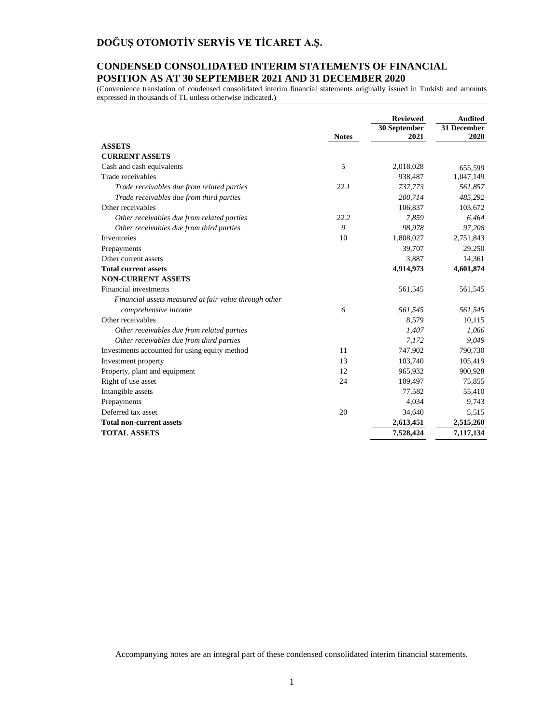### **CONDENSED CONSOLIDATED INTERIM STATEMENTS OF FINANCIAL POSITION AS AT 30 SEPTEMBER 2021 AND 31 DECEMBER 2020**

(Convenience translation of condensed consolidated interim financial statements originally issued in Turkish and amounts expressed in thousands of TL unless otherwise indicated.)

|                                                       |              | <b>Reviewed</b><br>30 September | <b>Audited</b><br>31 December |
|-------------------------------------------------------|--------------|---------------------------------|-------------------------------|
|                                                       | <b>Notes</b> | 2021                            | 2020                          |
| <b>ASSETS</b>                                         |              |                                 |                               |
| <b>CURRENT ASSETS</b>                                 |              |                                 |                               |
| Cash and cash equivalents                             | 5            | 2,018,028                       | 655,599                       |
| Trade receivables                                     |              | 938,487                         | 1,047,149                     |
| Trade receivables due from related parties            | 22.1         | 737,773                         | 561,857                       |
| Trade receivables due from third parties              |              | 200,714                         | 485,292                       |
| Other receivables                                     |              | 106,837                         | 103,672                       |
| Other receivables due from related parties            | 22.2         | 7.859                           | 6,464                         |
| Other receivables due from third parties              | 9            | 98,978                          | 97,208                        |
| Inventories                                           | 10           | 1,808,027                       | 2,751,843                     |
| Prepayments                                           |              | 39,707                          | 29,250                        |
| Other current assets                                  |              | 3,887                           | 14,361                        |
| <b>Total current assets</b>                           |              | 4,914,973                       | 4,601,874                     |
| <b>NON-CURRENT ASSETS</b>                             |              |                                 |                               |
| Financial investments                                 |              | 561,545                         | 561,545                       |
| Financial assets measured at fair value through other |              |                                 |                               |
| comprehensive income                                  | 6            | 561,545                         | 561,545                       |
| Other receivables                                     |              | 8,579                           | 10,115                        |
| Other receivables due from related parties            |              | 1,407                           | 1,066                         |
| Other receivables due from third parties              |              | 7,172                           | 9,049                         |
| Investments accounted for using equity method         | 11           | 747,902                         | 790,730                       |
| Investment property                                   | 13           | 103,740                         | 105,419                       |
| Property, plant and equipment                         | 12           | 965,932                         | 900,928                       |
| Right of use asset                                    | 24           | 109,497                         | 75,855                        |
| Intangible assets                                     |              | 77,582                          | 55,410                        |
| Prepayments                                           |              | 4,034                           | 9,743                         |
| Deferred tax asset                                    | 20           | 34,640                          | 5,515                         |
| <b>Total non-current assets</b>                       |              | 2,613,451                       | 2,515,260                     |
| <b>TOTAL ASSETS</b>                                   |              | 7,528,424                       | 7,117,134                     |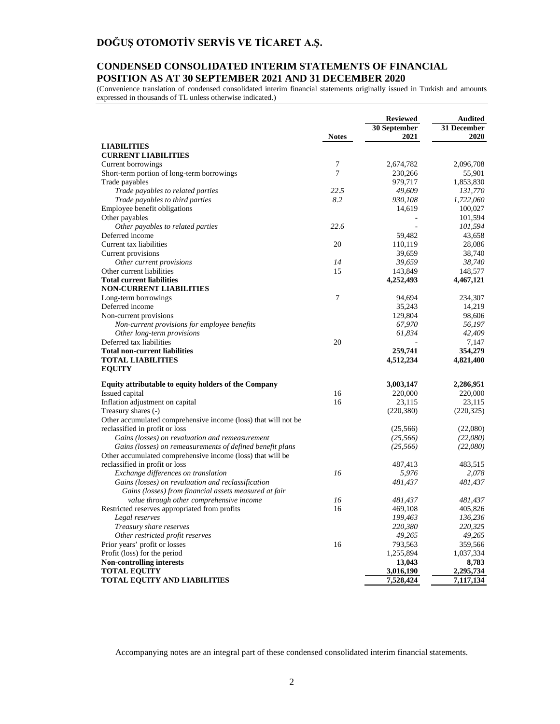### **CONDENSED CONSOLIDATED INTERIM STATEMENTS OF FINANCIAL POSITION AS AT 30 SEPTEMBER 2021 AND 31 DECEMBER 2020**

(Convenience translation of condensed consolidated interim financial statements originally issued in Turkish and amounts expressed in thousands of TL unless otherwise indicated.)

|                                                                | <b>Notes</b> | <b>Reviewed</b><br>30 September<br>2021 | <b>Audited</b><br>31 December<br>2020 |
|----------------------------------------------------------------|--------------|-----------------------------------------|---------------------------------------|
| <b>LIABILITIES</b>                                             |              |                                         |                                       |
| <b>CURRENT LIABILITIES</b>                                     |              |                                         |                                       |
| Current borrowings                                             | 7            | 2,674,782                               | 2,096,708                             |
| Short-term portion of long-term borrowings                     | 7            | 230,266                                 | 55,901                                |
| Trade payables                                                 |              | 979,717                                 | 1,853,830                             |
| Trade payables to related parties                              | 22.5         | 49,609                                  | 131,770                               |
| Trade payables to third parties                                | 8.2          | 930,108                                 | 1,722,060                             |
| Employee benefit obligations                                   |              | 14,619                                  | 100,027                               |
| Other payables                                                 |              |                                         | 101,594                               |
| Other payables to related parties                              | 22.6         |                                         | 101,594                               |
| Deferred income                                                |              | 59,482                                  | 43.658                                |
| Current tax liabilities                                        | 20           | 110,119                                 | 28,086                                |
| Current provisions                                             |              | 39,659                                  | 38,740                                |
| Other current provisions                                       | 14           | 39,659                                  | 38,740                                |
| Other current liabilities                                      | 15           | 143,849                                 | 148,577                               |
| <b>Total current liabilities</b>                               |              | 4,252,493                               | 4,467,121                             |
| <b>NON-CURRENT LIABILITIES</b>                                 |              |                                         |                                       |
| Long-term borrowings                                           | 7            | 94,694                                  | 234,307                               |
| Deferred income                                                |              | 35,243                                  | 14,219                                |
| Non-current provisions                                         |              | 129,804                                 | 98,606                                |
| Non-current provisions for employee benefits                   |              | 67,970                                  | 56,197                                |
|                                                                |              | 61,834                                  | 42,409                                |
| Other long-term provisions<br>Deferred tax liabilities         | 20           |                                         | 7,147                                 |
| <b>Total non-current liabilities</b>                           |              | 259,741                                 | 354,279                               |
| <b>TOTAL LIABILITIES</b>                                       |              |                                         | 4,821,400                             |
| <b>EQUITY</b>                                                  |              | 4,512,234                               |                                       |
| Equity attributable to equity holders of the Company           |              | 3,003,147                               | 2,286,951                             |
| Issued capital                                                 | 16           | 220,000                                 | 220,000                               |
| Inflation adjustment on capital                                | 16           | 23,115                                  | 23,115                                |
| Treasury shares (-)                                            |              | (220, 380)                              | (220, 325)                            |
| Other accumulated comprehensive income (loss) that will not be |              |                                         |                                       |
| reclassified in profit or loss                                 |              | (25,566)                                | (22,080)                              |
| Gains (losses) on revaluation and remeasurement                |              | (25, 566)                               | (22,080)                              |
| Gains (losses) on remeasurements of defined benefit plans      |              | (25, 566)                               | (22,080)                              |
| Other accumulated comprehensive income (loss) that will be     |              |                                         |                                       |
| reclassified in profit or loss                                 |              | 487,413                                 | 483,515                               |
| Exchange differences on translation                            | 16           | 5,976                                   | 2,078                                 |
| Gains (losses) on revaluation and reclassification             |              | 481,437                                 | 481,437                               |
| Gains (losses) from financial assets measured at fair          |              |                                         |                                       |
| value through other comprehensive income                       | 16           | 481,437                                 | 481,437                               |
| Restricted reserves appropriated from profits                  | 16           | 469,108                                 | 405,826                               |
| Legal reserves                                                 |              | 199,463                                 | 136,236                               |
| Treasury share reserves                                        |              | 220,380                                 | 220,325                               |
| Other restricted profit reserves                               |              | 49,265                                  | 49,265                                |
| Prior years' profit or losses                                  | 16           | 793,563                                 | 359,566                               |
| Profit (loss) for the period                                   |              | 1,255,894                               | 1,037,334                             |
| <b>Non-controlling interests</b>                               |              | 13,043                                  | 8,783                                 |
| <b>TOTAL EQUITY</b>                                            |              | 3,016,190                               | 2,295,734                             |
| <b>TOTAL EQUITY AND LIABILITIES</b>                            |              | 7,528,424                               | 7,117,134                             |
|                                                                |              |                                         |                                       |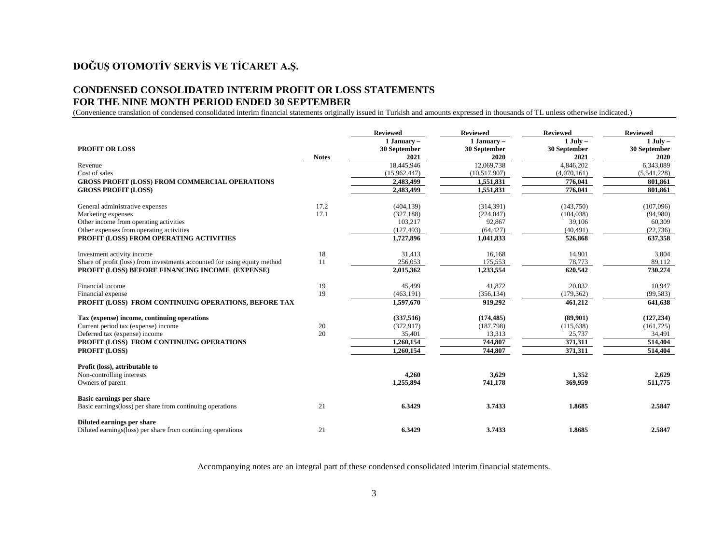# **DOĞUŞ OTOMOTİV SERVİS VE TİCARET A.Ş.**

### **CONDENSED CONSOLIDATED INTERIM PROFIT OR LOSS STATEMENTS FOR THE NINE MONTH PERIOD ENDED 30 SEPTEMBER**

(Convenience translation of condensed consolidated interim financial statements originally issued in Turkish and amounts expressed in thousands of TL unless otherwise indicated.)

|                                                                           |              | <b>Reviewed</b> | <b>Reviewed</b> | <b>Reviewed</b> | <b>Reviewed</b> |
|---------------------------------------------------------------------------|--------------|-----------------|-----------------|-----------------|-----------------|
|                                                                           |              | 1 January -     | 1 January -     | $1$ July $-$    | $1$ July $-$    |
| <b>PROFIT OR LOSS</b>                                                     |              | 30 September    | 30 September    | 30 September    | 30 September    |
|                                                                           | <b>Notes</b> | 2021            | 2020            | 2021            | 2020            |
| Revenue                                                                   |              | 18,445,946      | 12,069,738      | 4,846,202       | 6,343,089       |
| Cost of sales                                                             |              | (15,962,447)    | (10,517,907)    | (4,070,161)     | (5,541,228)     |
| <b>GROSS PROFIT (LOSS) FROM COMMERCIAL OPERATIONS</b>                     |              | 2,483,499       | 1,551,831       | 776,041         | 801.861         |
| <b>GROSS PROFIT (LOSS)</b>                                                |              | 2,483,499       | 1,551,831       | 776,041         | 801,861         |
| General administrative expenses                                           | 17.2         | (404, 139)      | (314, 391)      | (143,750)       | (107,096)       |
| Marketing expenses                                                        | 17.1         | (327, 188)      | (224, 047)      | (104, 038)      | (94,980)        |
| Other income from operating activities                                    |              | 103,217         | 92,867          | 39,106          | 60,309          |
| Other expenses from operating activities                                  |              | (127, 493)      | (64, 427)       | (40, 491)       | (22, 736)       |
| PROFIT (LOSS) FROM OPERATING ACTIVITIES                                   |              | 1,727,896       | 1,041,833       | 526,868         | 637,358         |
| Investment activity income                                                | 18           | 31,413          | 16,168          | 14,901          | 3,804           |
| Share of profit (loss) from investments accounted for using equity method | 11           | 256,053         | 175,553         | 78,773          | 89,112          |
| PROFIT (LOSS) BEFORE FINANCING INCOME (EXPENSE)                           |              | 2,015,362       | 1,233,554       | 620,542         | 730,274         |
| Financial income                                                          | 19           | 45,499          | 41,872          | 20,032          | 10.947          |
| Financial expense                                                         | 19           | (463, 191)      | (356, 134)      | (179, 362)      | (99, 583)       |
| PROFIT (LOSS) FROM CONTINUING OPERATIONS, BEFORE TAX                      |              | 1,597,670       | 919,292         | 461,212         | 641,638         |
| Tax (expense) income, continuing operations                               |              | (337,516)       | (174, 485)      | (89,901)        | (127, 234)      |
| Current period tax (expense) income                                       | 20           | (372, 917)      | (187,798)       | (115, 638)      | (161, 725)      |
| Deferred tax (expense) income                                             | 20           | 35,401          | 13,313          | 25,737          | 34,491          |
| PROFIT (LOSS) FROM CONTINUING OPERATIONS                                  |              | 1,260,154       | 744,807         | 371,311         | 514,404         |
| <b>PROFIT (LOSS)</b>                                                      |              | 1,260,154       | 744,807         | 371,311         | 514,404         |
| Profit (loss), attributable to                                            |              |                 |                 |                 |                 |
| Non-controlling interests                                                 |              | 4,260           | 3,629           | 1.352           | 2,629           |
| Owners of parent                                                          |              | 1,255,894       | 741,178         | 369,959         | 511,775         |
| Basic earnings per share                                                  |              |                 |                 |                 |                 |
| Basic earnings (loss) per share from continuing operations                | 21           | 6.3429          | 3.7433          | 1.8685          | 2.5847          |
| Diluted earnings per share                                                |              |                 |                 |                 |                 |
| Diluted earnings(loss) per share from continuing operations               | 21           | 6.3429          | 3.7433          | 1.8685          | 2.5847          |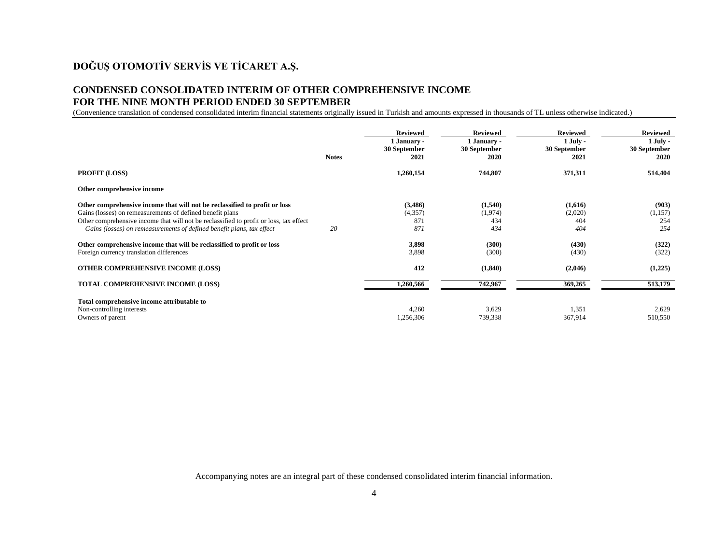## **DOĞUŞ OTOMOTİV SERVİS VE TİCARET A.Ş.**

### **CONDENSED CONSOLIDATED INTERIM OF OTHER COMPREHENSIVE INCOME FOR THE NINE MONTH PERIOD ENDED 30 SEPTEMBER**

(Convenience translation of condensed consolidated interim financial statements originally issued in Turkish and amounts expressed in thousands of TL unless otherwise indicated.)

|                                                                                                                                                                                                                                                                                                            | <b>Notes</b> | <b>Reviewed</b><br>1 January -<br>30 September<br>2021 | <b>Reviewed</b><br>1 January -<br>30 September<br>2020 | <b>Reviewed</b><br>$1$ July -<br>30 September<br>2021 | <b>Reviewed</b><br>$1$ July -<br>30 September<br>2020 |
|------------------------------------------------------------------------------------------------------------------------------------------------------------------------------------------------------------------------------------------------------------------------------------------------------------|--------------|--------------------------------------------------------|--------------------------------------------------------|-------------------------------------------------------|-------------------------------------------------------|
| <b>PROFIT (LOSS)</b>                                                                                                                                                                                                                                                                                       |              | 1,260,154                                              | 744,807                                                | 371,311                                               | 514,404                                               |
| Other comprehensive income                                                                                                                                                                                                                                                                                 |              |                                                        |                                                        |                                                       |                                                       |
| Other comprehensive income that will not be reclassified to profit or loss<br>Gains (losses) on remeasurements of defined benefit plans<br>Other comprehensive income that will not be reclassified to profit or loss, tax effect<br>Gains (losses) on remeasurements of defined benefit plans, tax effect | 20           | (3,486)<br>(4,357)<br>871<br>871                       | (1,540)<br>(1,974)<br>434<br>434                       | (1,616)<br>(2,020)<br>404<br>404                      | (903)<br>(1,157)<br>254<br>254                        |
| Other comprehensive income that will be reclassified to profit or loss<br>Foreign currency translation differences                                                                                                                                                                                         |              | 3,898<br>3,898                                         | (300)<br>(300)                                         | (430)<br>(430)                                        | (322)<br>(322)                                        |
| <b>OTHER COMPREHENSIVE INCOME (LOSS)</b>                                                                                                                                                                                                                                                                   |              | 412                                                    | (1,840)                                                | (2,046)                                               | (1,225)                                               |
| <b>TOTAL COMPREHENSIVE INCOME (LOSS)</b>                                                                                                                                                                                                                                                                   |              | 1,260,566                                              | 742,967                                                | 369,265                                               | 513,179                                               |
| Total comprehensive income attributable to<br>Non-controlling interests<br>Owners of parent                                                                                                                                                                                                                |              | 4,260<br>1,256,306                                     | 3,629<br>739,338                                       | 1,351<br>367,914                                      | 2,629<br>510,550                                      |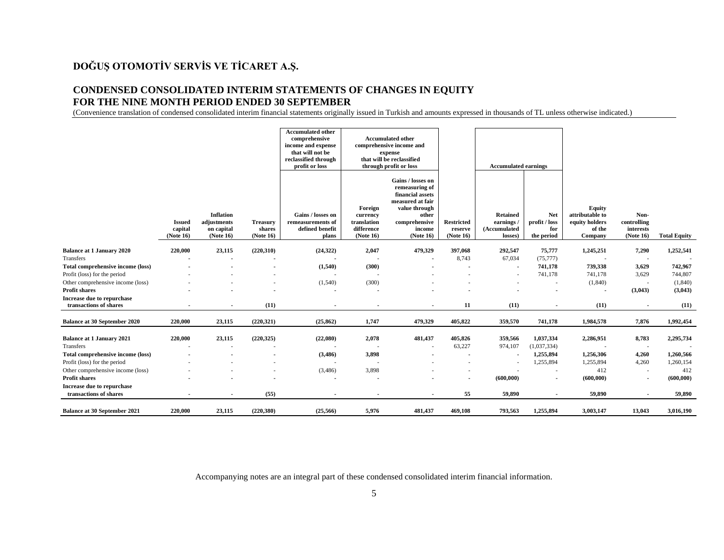## **DOĞUŞ OTOMOTİV SERVİS VE TİCARET A.Ş.**

### **CONDENSED CONSOLIDATED INTERIM STATEMENTS OF CHANGES IN EQUITY FOR THE NINE MONTH PERIOD ENDED 30 SEPTEMBER**

(Convenience translation of condensed consolidated interim financial statements originally issued in Turkish and amounts expressed in thousands of TL unless otherwise indicated.)

|                                                      |                                       |                                                            |                                        | <b>Accumulated other</b><br>comprehensive<br>income and expense<br>that will not be<br>reclassified through<br>profit or loss |                                                               | <b>Accumulated other</b><br>comprehensive income and<br>expense<br>that will be reclassified<br>through profit or loss                        |                                           | <b>Accumulated earnings</b>                            |                                                  |                                                                         |                                               |                     |
|------------------------------------------------------|---------------------------------------|------------------------------------------------------------|----------------------------------------|-------------------------------------------------------------------------------------------------------------------------------|---------------------------------------------------------------|-----------------------------------------------------------------------------------------------------------------------------------------------|-------------------------------------------|--------------------------------------------------------|--------------------------------------------------|-------------------------------------------------------------------------|-----------------------------------------------|---------------------|
|                                                      | <b>Issued</b><br>capital<br>(Note 16) | <b>Inflation</b><br>adjustments<br>on capital<br>(Note 16) | <b>Treasury</b><br>shares<br>(Note 16) | Gains / losses on<br>remeasurements of<br>defined benefit<br>plans                                                            | Foreign<br>currency<br>translation<br>difference<br>(Note 16) | Gains / losses on<br>remeasuring of<br>financial assets<br>measured at fair<br>value through<br>other<br>comprehensive<br>income<br>(Note 16) | <b>Restricted</b><br>reserve<br>(Note 16) | <b>Retained</b><br>earnings<br>(Accumulated<br>losses) | <b>Net</b><br>profit / loss<br>for<br>the period | <b>Equity</b><br>attributable to<br>equity holders<br>of the<br>Company | Non-<br>controlling<br>interests<br>(Note 16) | <b>Total Equity</b> |
| <b>Balance at 1 January 2020</b>                     | 220,000                               | 23,115                                                     | (220, 310)                             | (24, 322)                                                                                                                     | 2,047                                                         | 479,329                                                                                                                                       | 397,068                                   | 292,547                                                | 75,777                                           | 1,245,251                                                               | 7,290                                         | 1,252,541           |
| Transfers                                            |                                       |                                                            |                                        |                                                                                                                               | $\overline{\phantom{a}}$                                      |                                                                                                                                               | 8,743                                     | 67,034                                                 | (75, 777)                                        |                                                                         | $\overline{\phantom{a}}$                      |                     |
| Total comprehensive income (loss)                    |                                       |                                                            |                                        | (1,540)                                                                                                                       | (300)                                                         |                                                                                                                                               |                                           |                                                        | 741,178                                          | 739,338                                                                 | 3,629                                         | 742,967             |
| Profit (loss) for the period                         |                                       |                                                            |                                        | $\overline{\phantom{a}}$                                                                                                      | $\overline{\phantom{a}}$                                      |                                                                                                                                               |                                           |                                                        | 741,178                                          | 741,178                                                                 | 3,629                                         | 744,807             |
| Other comprehensive income (loss)                    |                                       |                                                            |                                        | (1,540)                                                                                                                       | (300)                                                         |                                                                                                                                               |                                           |                                                        | $\overline{\phantom{a}}$                         | (1, 840)                                                                | $\overline{\phantom{a}}$                      | (1,840)             |
| <b>Profit shares</b>                                 |                                       |                                                            |                                        |                                                                                                                               | $\overline{\phantom{a}}$                                      |                                                                                                                                               |                                           |                                                        |                                                  |                                                                         | (3,043)                                       | (3,043)             |
| Increase due to repurchase<br>transactions of shares |                                       | $\blacksquare$                                             | (11)                                   | $\blacksquare$                                                                                                                | $\bullet$                                                     |                                                                                                                                               | 11                                        | (11)                                                   | $\sim$                                           | (11)                                                                    |                                               | (11)                |
| <b>Balance at 30 September 2020</b>                  | 220,000                               | 23,115                                                     | (220, 321)                             | (25, 862)                                                                                                                     | 1,747                                                         | 479,329                                                                                                                                       | 405,822                                   | 359,570                                                | 741,178                                          | 1,984,578                                                               | 7,876                                         | 1,992,454           |
| <b>Balance at 1 January 2021</b>                     | 220,000                               | 23,115                                                     | (220, 325)                             | (22,080)                                                                                                                      | 2,078                                                         | 481,437                                                                                                                                       | 405,826                                   | 359,566                                                | 1,037,334                                        | 2,286,951                                                               | 8,783                                         | 2,295,734           |
| Transfers                                            |                                       | $\sim$                                                     |                                        |                                                                                                                               | $\overline{\phantom{a}}$                                      |                                                                                                                                               | 63,227                                    | 974,107                                                | (1,037,334)                                      |                                                                         | $\overline{\phantom{a}}$                      |                     |
| Total comprehensive income (loss)                    |                                       |                                                            |                                        | (3,486)                                                                                                                       | 3,898                                                         |                                                                                                                                               |                                           |                                                        | 1,255,894                                        | 1,256,306                                                               | 4,260                                         | 1,260,566           |
| Profit (loss) for the period                         |                                       |                                                            |                                        | $\overline{\phantom{a}}$                                                                                                      | $\overline{a}$                                                |                                                                                                                                               |                                           |                                                        | 1,255,894                                        | 1,255,894                                                               | 4,260                                         | 1,260,154           |
| Other comprehensive income (loss)                    |                                       |                                                            |                                        | (3,486)                                                                                                                       | 3,898                                                         |                                                                                                                                               |                                           |                                                        | . п.                                             | 412                                                                     | $\overline{\phantom{a}}$                      | 412                 |
| <b>Profit shares</b>                                 |                                       |                                                            |                                        | $\blacksquare$                                                                                                                | $\bullet$                                                     |                                                                                                                                               |                                           | (600, 000)                                             | $\blacksquare$                                   | (600, 000)                                                              | $\blacksquare$                                | (600, 000)          |
| Increase due to repurchase                           |                                       |                                                            |                                        |                                                                                                                               |                                                               |                                                                                                                                               |                                           |                                                        |                                                  |                                                                         |                                               |                     |
| transactions of shares                               |                                       |                                                            | (55)                                   |                                                                                                                               |                                                               |                                                                                                                                               | 55                                        | 59.890                                                 | $\sim$                                           | 59.890                                                                  |                                               | 59.890              |
| Balance at 30 September 2021                         | 220,000                               | 23,115                                                     | (220, 380)                             | (25, 566)                                                                                                                     | 5,976                                                         | 481,437                                                                                                                                       | 469,108                                   | 793,563                                                | 1,255,894                                        | 3,003,147                                                               | 13,043                                        | 3,016,190           |